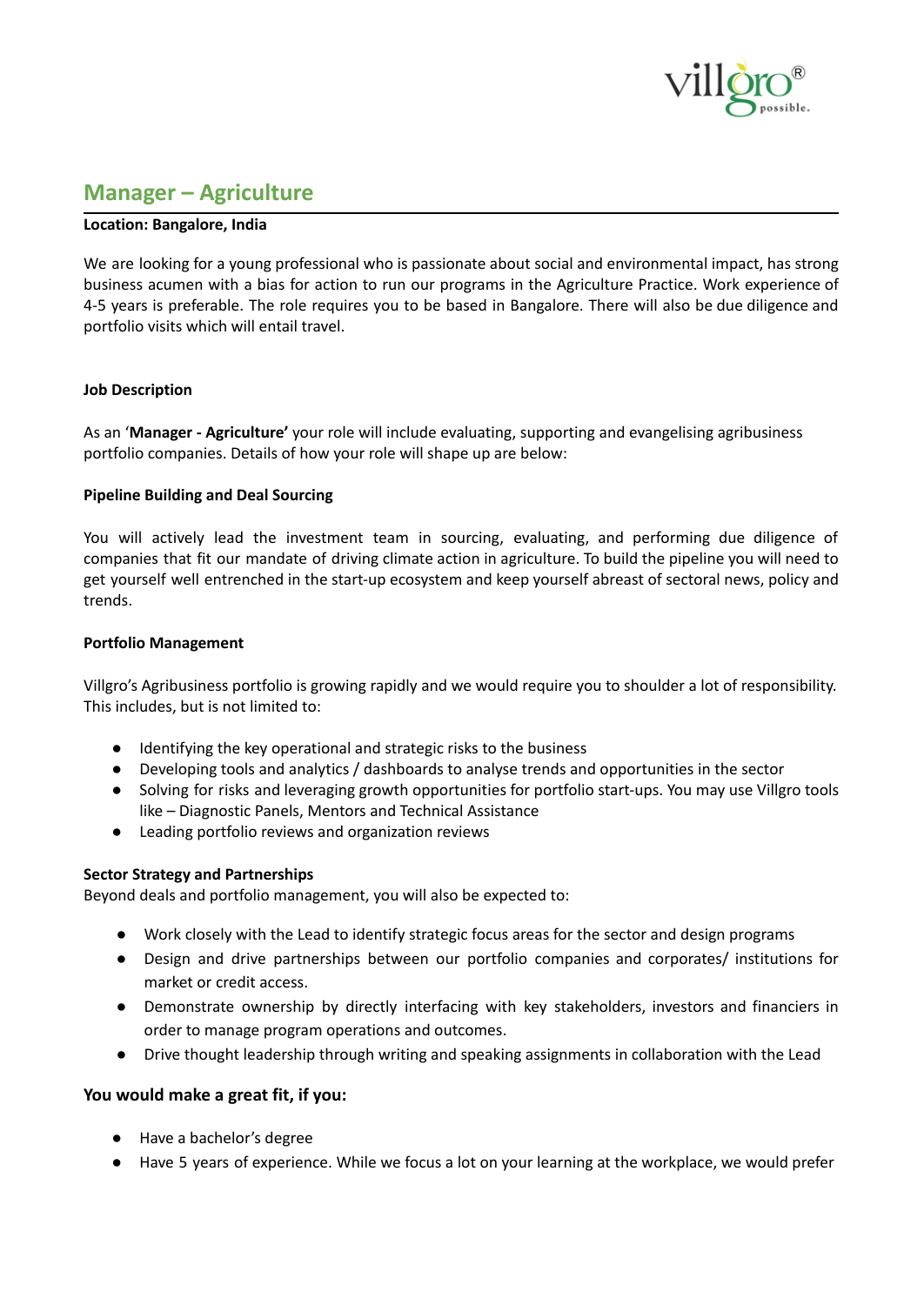

# **Manager – Agriculture**

### **Location: Bangalore, India**

We are looking for a young professional who is passionate about social and environmental impact, has strong business acumen with a bias for action to run our programs in the Agriculture Practice. Work experience of 4-5 years is preferable. The role requires you to be based in Bangalore. There will also be due diligence and portfolio visits which will entail travel.

#### **Job Description**

As an '**Manager - Agriculture'** your role will include evaluating, supporting and evangelising agribusiness portfolio companies. Details of how your role will shape up are below:

#### **Pipeline Building and Deal Sourcing**

You will actively lead the investment team in sourcing, evaluating, and performing due diligence of companies that fit our mandate of driving climate action in agriculture. To build the pipeline you will need to get yourself well entrenched in the start-up ecosystem and keep yourself abreast of sectoral news, policy and trends.

#### **Portfolio Management**

Villgro's Agribusiness portfolio is growing rapidly and we would require you to shoulder a lot of responsibility. This includes, but is not limited to:

- Identifying the key operational and strategic risks to the business
- Developing tools and analytics / dashboards to analyse trends and opportunities in the sector
- Solving for risks and leveraging growth opportunities for portfolio start-ups. You may use Villgro tools like – Diagnostic Panels, Mentors and Technical Assistance
- Leading portfolio reviews and organization reviews

## **Sector Strategy and Partnerships**

Beyond deals and portfolio management, you will also be expected to:

- Work closely with the Lead to identify strategic focus areas for the sector and design programs
- Design and drive partnerships between our portfolio companies and corporates/ institutions for market or credit access.
- Demonstrate ownership by directly interfacing with key stakeholders, investors and financiers in order to manage program operations and outcomes.
- Drive thought leadership through writing and speaking assignments in collaboration with the Lead

## **You would make a great fit, if you:**

- Have a bachelor's degree
- Have 5 years of experience. While we focus a lot on your learning at the workplace, we would prefer